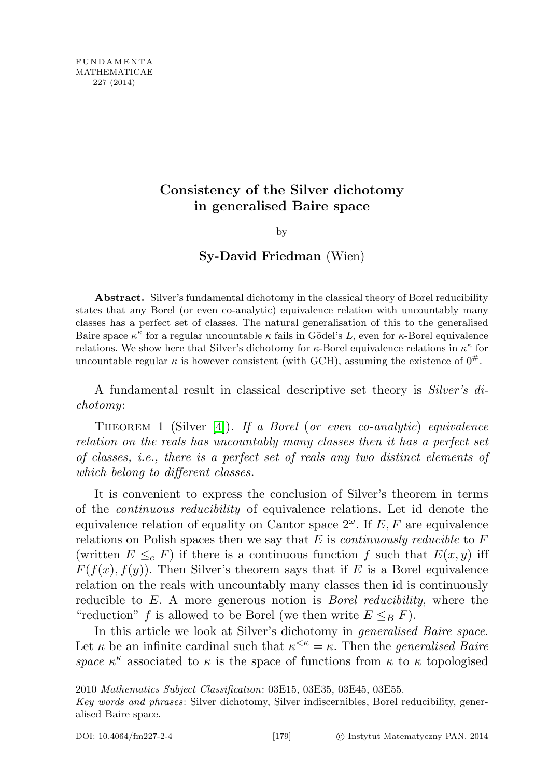## Consistency of the Silver dichotomy in generalised Baire space

by

Sy-David Friedman (Wien)

Abstract. Silver's fundamental dichotomy in the classical theory of Borel reducibility states that any Borel (or even co-analytic) equivalence relation with uncountably many classes has a perfect set of classes. The natural generalisation of this to the generalised Baire space  $\kappa^{\kappa}$  for a regular uncountable  $\kappa$  fails in Gödel's L, even for  $\kappa$ -Borel equivalence relations. We show here that Silver's dichotomy for  $\kappa$ -Borel equivalence relations in  $\kappa^{\kappa}$  for uncountable regular  $\kappa$  is however consistent (with GCH), assuming the existence of  $0^{\#}$ .

A fundamental result in classical descriptive set theory is Silver's dichotomy:

THEOREM 1 (Silver  $[4]$ ). If a Borel (or even co-analytic) equivalence relation on the reals has uncountably many classes then it has a perfect set of classes, i.e., there is a perfect set of reals any two distinct elements of which belong to different classes.

It is convenient to express the conclusion of Silver's theorem in terms of the continuous reducibility of equivalence relations. Let id denote the equivalence relation of equality on Cantor space  $2^{\omega}$ . If E, F are equivalence relations on Polish spaces then we say that  $E$  is *continuously reducible* to  $F$ (written  $E \leq_c F$ ) if there is a continuous function f such that  $E(x, y)$  iff  $F(f(x), f(y))$ . Then Silver's theorem says that if E is a Borel equivalence relation on the reals with uncountably many classes then id is continuously reducible to E. A more generous notion is *Borel reducibility*, where the "reduction" f is allowed to be Borel (we then write  $E \leq_B F$ ).

In this article we look at Silver's dichotomy in generalised Baire space. Let  $\kappa$  be an infinite cardinal such that  $\kappa^{\leq \kappa} = \kappa$ . Then the *generalised Baire* space  $\kappa^{\kappa}$  associated to  $\kappa$  is the space of functions from  $\kappa$  to  $\kappa$  topologised

<sup>2010</sup> Mathematics Subject Classification: 03E15, 03E35, 03E45, 03E55.

Key words and phrases: Silver dichotomy, Silver indiscernibles, Borel reducibility, generalised Baire space.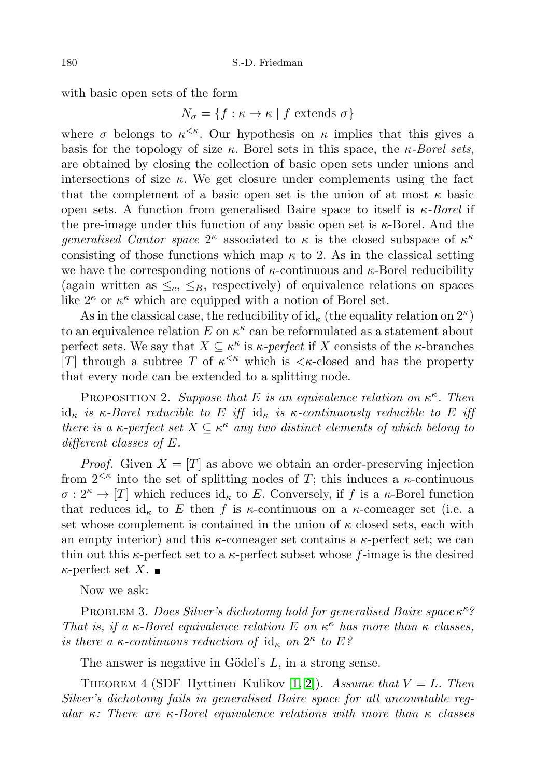with basic open sets of the form

$$
N_{\sigma} = \{ f : \kappa \to \kappa \mid f \text{ extends } \sigma \}
$$

where  $\sigma$  belongs to  $\kappa^{\leq \kappa}$ . Our hypothesis on  $\kappa$  implies that this gives a basis for the topology of size  $\kappa$ . Borel sets in this space, the  $\kappa$ -Borel sets, are obtained by closing the collection of basic open sets under unions and intersections of size  $\kappa$ . We get closure under complements using the fact that the complement of a basic open set is the union of at most  $\kappa$  basic open sets. A function from generalised Baire space to itself is  $\kappa$ -Borel if the pre-image under this function of any basic open set is  $\kappa$ -Borel. And the *generalised Cantor space*  $2^{\kappa}$  associated to  $\kappa$  is the closed subspace of  $\kappa^{\kappa}$ consisting of those functions which map  $\kappa$  to 2. As in the classical setting we have the corresponding notions of  $\kappa$ -continuous and  $\kappa$ -Borel reducibility (again written as  $\leq_c$ ,  $\leq_B$ , respectively) of equivalence relations on spaces like  $2^{\kappa}$  or  $\kappa^{\kappa}$  which are equipped with a notion of Borel set.

As in the classical case, the reducibility of  $id_{\kappa}$  (the equality relation on  $2^{\kappa}$ ) to an equivalence relation  $E$  on  $\kappa^{\kappa}$  can be reformulated as a statement about perfect sets. We say that  $X \subseteq \kappa^{\kappa}$  is  $\kappa$ -perfect if X consists of the  $\kappa$ -branches [T] through a subtree T of  $\kappa^{\leq \kappa}$  which is  $\leq \kappa$ -closed and has the property that every node can be extended to a splitting node.

<span id="page-1-0"></span>PROPOSITION 2. Suppose that E is an equivalence relation on  $\kappa^{\kappa}$ . Then id<sub>κ</sub> is κ-Borel reducible to E iff id<sub>κ</sub> is κ-continuously reducible to E iff there is a  $\kappa$ -perfect set  $X \subseteq \kappa^{\kappa}$  any two distinct elements of which belong to different classes of E.

*Proof.* Given  $X = [T]$  as above we obtain an order-preserving injection from  $2^{<\kappa}$  into the set of splitting nodes of T; this induces a  $\kappa$ -continuous  $\sigma: 2^{\kappa} \to [T]$  which reduces id<sub>κ</sub> to E. Conversely, if f is a  $\kappa$ -Borel function that reduces id<sub>κ</sub> to E then f is  $\kappa$ -continuous on a  $\kappa$ -comeager set (i.e. a set whose complement is contained in the union of  $\kappa$  closed sets, each with an empty interior) and this  $\kappa$ -comeager set contains a  $\kappa$ -perfect set; we can thin out this  $\kappa$ -perfect set to a  $\kappa$ -perfect subset whose f-image is the desired  $\kappa$ -perfect set X.

Now we ask:

PROBLEM 3. Does Silver's dichotomy hold for generalised Baire space  $\kappa^{\kappa}$ ? That is, if a  $\kappa$ -Borel equivalence relation E on  $\kappa^{\kappa}$  has more than  $\kappa$  classes, is there a  $\kappa$ -continuous reduction of  $id_{\kappa}$  on  $2^{\kappa}$  to  $E$ ?

The answer is negative in Gödel's  $L$ , in a strong sense.

<span id="page-1-1"></span>THEOREM 4 (SDF–Hyttinen–Kulikov [\[1,](#page-7-1) [2\]](#page-7-2)). Assume that  $V = L$ . Then Silver's dichotomy fails in generalised Baire space for all uncountable regular  $\kappa$ : There are  $\kappa$ -Borel equivalence relations with more than  $\kappa$  classes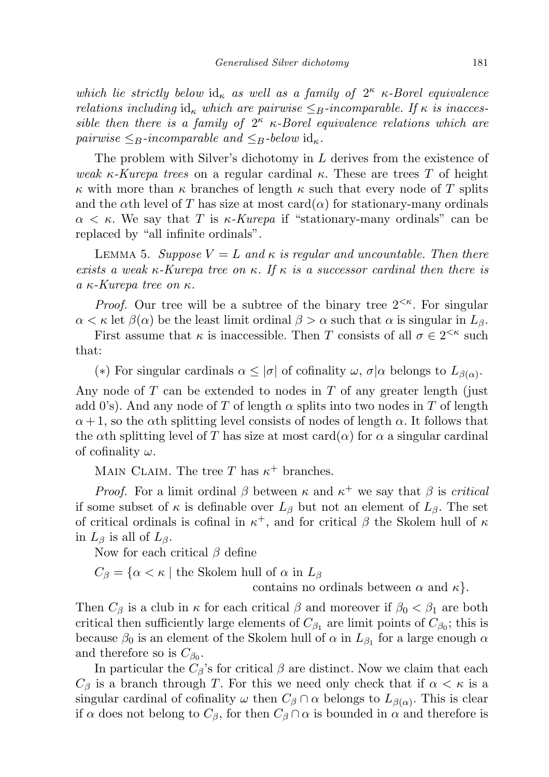which lie strictly below  $id_{\kappa}$  as well as a family of  $2^{\kappa}$   $\kappa$ -Borel equivalence relations including  $id_{\kappa}$  which are pairwise  $\leq_B$ -incomparable. If  $\kappa$  is inaccessible then there is a family of  $2^{\kappa}$  k-Borel equivalence relations which are pairwise  $\leq_B$ -incomparable and  $\leq_B$ -below id<sub> $\kappa$ </sub>.

The problem with Silver's dichotomy in L derives from the existence of weak  $\kappa$ -Kurepa trees on a regular cardinal  $\kappa$ . These are trees T of height κ with more than κ branches of length κ such that every node of T splits and the  $\alpha$ th level of T has size at most card $(\alpha)$  for stationary-many ordinals  $\alpha < \kappa$ . We say that T is  $\kappa$ -Kurepa if "stationary-many ordinals" can be replaced by "all infinite ordinals".

<span id="page-2-0"></span>LEMMA 5. Suppose  $V = L$  and  $\kappa$  is regular and uncountable. Then there exists a weak  $\kappa$ -Kurepa tree on  $\kappa$ . If  $\kappa$  is a successor cardinal then there is a κ-Kurepa tree on κ.

*Proof.* Our tree will be a subtree of the binary tree  $2^{<\kappa}$ . For singular  $\alpha < \kappa$  let  $\beta(\alpha)$  be the least limit ordinal  $\beta > \alpha$  such that  $\alpha$  is singular in  $L_{\beta}$ .

First assume that  $\kappa$  is inaccessible. Then T consists of all  $\sigma \in 2^{<\kappa}$  such that:

(\*) For singular cardinals  $\alpha \leq |\sigma|$  of cofinality  $\omega$ ,  $\sigma|\alpha$  belongs to  $L_{\beta(\alpha)}$ .

Any node of  $T$  can be extended to nodes in  $T$  of any greater length (just add 0's). And any node of T of length  $\alpha$  splits into two nodes in T of length  $\alpha + 1$ , so the  $\alpha$ th splitting level consists of nodes of length  $\alpha$ . It follows that the  $\alpha$ th splitting level of T has size at most card $(\alpha)$  for  $\alpha$  a singular cardinal of cofinality  $\omega$ .

MAIN CLAIM. The tree T has  $\kappa^+$  branches.

*Proof.* For a limit ordinal  $\beta$  between  $\kappa$  and  $\kappa^+$  we say that  $\beta$  is critical if some subset of  $\kappa$  is definable over  $L_{\beta}$  but not an element of  $L_{\beta}$ . The set of critical ordinals is cofinal in  $\kappa^+$ , and for critical  $\beta$  the Skolem hull of  $\kappa$ in  $L_\beta$  is all of  $L_\beta$ .

Now for each critical  $\beta$  define

 $C_{\beta} = {\alpha < \kappa \mid \text{the Skolem hull of } \alpha \text{ in } L_{\beta}}$ 

contains no ordinals between  $\alpha$  and  $\kappa$ .

Then  $C_\beta$  is a club in  $\kappa$  for each critical  $\beta$  and moreover if  $\beta_0 < \beta_1$  are both critical then sufficiently large elements of  $C_{\beta_1}$  are limit points of  $C_{\beta_0}$ ; this is because  $\beta_0$  is an element of the Skolem hull of  $\alpha$  in  $L_{\beta_1}$  for a large enough  $\alpha$ and therefore so is  $C_{\beta_0}$ .

In particular the  $C_\beta$ 's for critical  $\beta$  are distinct. Now we claim that each  $C_\beta$  is a branch through T. For this we need only check that if  $\alpha < \kappa$  is a singular cardinal of cofinality  $\omega$  then  $C_{\beta} \cap \alpha$  belongs to  $L_{\beta(\alpha)}$ . This is clear if  $\alpha$  does not belong to  $C_{\beta}$ , for then  $C_{\beta} \cap \alpha$  is bounded in  $\alpha$  and therefore is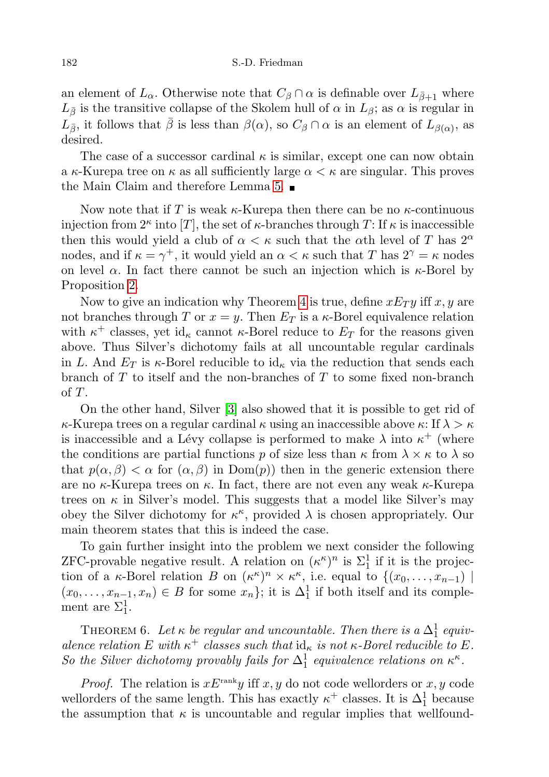an element of  $L_{\alpha}$ . Otherwise note that  $C_{\beta} \cap \alpha$  is definable over  $L_{\bar{\beta}+1}$  where  $L_{\bar{\beta}}$  is the transitive collapse of the Skolem hull of  $\alpha$  in  $L_{\beta}$ ; as  $\alpha$  is regular in  $L_{\bar{\beta}}$ , it follows that  $\bar{\beta}$  is less than  $\beta(\alpha)$ , so  $C_{\beta} \cap \alpha$  is an element of  $L_{\beta(\alpha)}$ , as desired.

The case of a successor cardinal  $\kappa$  is similar, except one can now obtain a  $\kappa$ -Kurepa tree on  $\kappa$  as all sufficiently large  $\alpha < \kappa$  are singular. This proves the Main Claim and therefore Lemma [5.](#page-2-0)

Now note that if T is weak  $\kappa$ -Kurepa then there can be no  $\kappa$ -continuous injection from  $2^{\kappa}$  into  $[T]$ , the set of  $\kappa$ -branches through T: If  $\kappa$  is inaccessible then this would yield a club of  $\alpha < \kappa$  such that the  $\alpha$ th level of T has  $2^{\alpha}$ nodes, and if  $\kappa = \gamma^+$ , it would yield an  $\alpha < \kappa$  such that T has  $2^{\gamma} = \kappa$  nodes on level  $\alpha$ . In fact there cannot be such an injection which is  $\kappa$ -Borel by Proposition [2.](#page-1-0)

Now to give an indication why Theorem [4](#page-1-1) is true, define  $xE_T y$  iff x, y are not branches through T or  $x = y$ . Then  $E_T$  is a  $\kappa$ -Borel equivalence relation with  $\kappa^+$  classes, yet id<sub> $\kappa$ </sub> cannot  $\kappa$ -Borel reduce to  $E_T$  for the reasons given above. Thus Silver's dichotomy fails at all uncountable regular cardinals in L. And  $E_T$  is  $\kappa$ -Borel reducible to id<sub> $\kappa$ </sub> via the reduction that sends each branch of T to itself and the non-branches of T to some fixed non-branch of T.

On the other hand, Silver [\[3\]](#page-7-3) also showed that it is possible to get rid of  $\kappa$ -Kurepa trees on a regular cardinal  $\kappa$  using an inaccessible above  $\kappa$ : If  $\lambda > \kappa$ is inaccessible and a Lévy collapse is performed to make  $\lambda$  into  $\kappa^+$  (where the conditions are partial functions p of size less than  $\kappa$  from  $\lambda \times \kappa$  to  $\lambda$  so that  $p(\alpha, \beta) < \alpha$  for  $(\alpha, \beta)$  in  $Dom(p)$  then in the generic extension there are no  $\kappa$ -Kurepa trees on  $\kappa$ . In fact, there are not even any weak  $\kappa$ -Kurepa trees on  $\kappa$  in Silver's model. This suggests that a model like Silver's may obey the Silver dichotomy for  $\kappa^{\kappa}$ , provided  $\lambda$  is chosen appropriately. Our main theorem states that this is indeed the case.

To gain further insight into the problem we next consider the following ZFC-provable negative result. A relation on  $(\kappa^{\kappa})^n$  is  $\Sigma_1^1$  if it is the projection of a  $\kappa$ -Borel relation B on  $(\kappa^{\kappa})^n \times \kappa^{\kappa}$ , i.e. equal to  $\{(x_0, \ldots, x_{n-1})$  $(x_0, \ldots, x_{n-1}, x_n) \in B$  for some  $x_n$ ; it is  $\Delta_1^1$  if both itself and its complement are  $\Sigma_1^1$ .

THEOREM 6. Let  $\kappa$  be regular and uncountable. Then there is a  $\Delta_1^1$  equivalence relation E with  $\kappa^+$  classes such that  $\mathrm{id}_{\kappa}$  is not  $\kappa$ -Borel reducible to E. So the Silver dichotomy provably fails for  $\Delta_1^1$  equivalence relations on  $\kappa^{\kappa}$ .

*Proof.* The relation is  $xE^{\text{rank}}y$  iff x, y do not code wellorders or x, y code wellorders of the same length. This has exactly  $\kappa^+$  classes. It is  $\Delta_1^1$  because the assumption that  $\kappa$  is uncountable and regular implies that wellfound-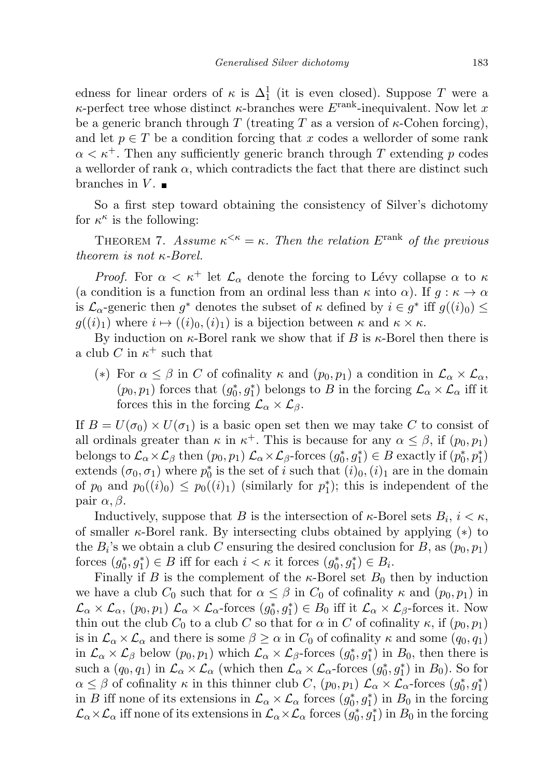edness for linear orders of  $\kappa$  is  $\Delta_1^1$  (it is even closed). Suppose T were a  $\kappa$ -perfect tree whose distinct  $\kappa$ -branches were  $E^{\text{rank}}$ -inequivalent. Now let x be a generic branch through T (treating T as a version of  $\kappa$ -Cohen forcing), and let  $p \in T$  be a condition forcing that x codes a wellorder of some rank  $\alpha < \kappa^+$ . Then any sufficiently generic branch through T extending p codes a wellorder of rank  $\alpha$ , which contradicts the fact that there are distinct such branches in  $V$ .

So a first step toward obtaining the consistency of Silver's dichotomy for  $\kappa^{\kappa}$  is the following:

THEOREM 7. Assume  $\kappa^{\leq \kappa} = \kappa$ . Then the relation E<sup>rank</sup> of the previous theorem is not κ-Borel.

*Proof.* For  $\alpha < \kappa^+$  let  $\mathcal{L}_{\alpha}$  denote the forcing to Lévy collapse  $\alpha$  to  $\kappa$ (a condition is a function from an ordinal less than  $\kappa$  into  $\alpha$ ). If  $g : \kappa \to \alpha$ is  $\mathcal{L}_{\alpha}$ -generic then  $g^*$  denotes the subset of  $\kappa$  defined by  $i \in g^*$  iff  $g((i)_0) \leq$  $g((i)_1)$  where  $i \mapsto ((i)_0,(i)_1)$  is a bijection between  $\kappa$  and  $\kappa \times \kappa$ .

By induction on  $\kappa$ -Borel rank we show that if B is  $\kappa$ -Borel then there is a club C in  $\kappa^+$  such that

(\*) For  $\alpha \leq \beta$  in C of cofinality  $\kappa$  and  $(p_0, p_1)$  a condition in  $\mathcal{L}_{\alpha} \times \mathcal{L}_{\alpha}$ ,  $(p_0, p_1)$  forces that  $(g_0^*, g_1^*)$  belongs to B in the forcing  $\mathcal{L}_{\alpha} \times \mathcal{L}_{\alpha}$  iff it forces this in the forcing  $\mathcal{L}_{\alpha} \times \mathcal{L}_{\beta}$ .

If  $B = U(\sigma_0) \times U(\sigma_1)$  is a basic open set then we may take C to consist of all ordinals greater than  $\kappa$  in  $\kappa^+$ . This is because for any  $\alpha \leq \beta$ , if  $(p_0, p_1)$ belongs to  $\mathcal{L}_{\alpha}\times\mathcal{L}_{\beta}$  then  $(p_0, p_1)$   $\mathcal{L}_{\alpha}\times\mathcal{L}_{\beta}$ -forces  $(g_0^*, g_1^*) \in B$  exactly if  $(p_0^*, p_1^*)$ extends  $(\sigma_0, \sigma_1)$  where  $p_0^*$  is the set of i such that  $(i)_0$ ,  $(i)_1$  are in the domain of  $p_0$  and  $p_0((i)_0) \leq p_0((i)_1)$  (similarly for  $p_1^*$ ); this is independent of the pair  $\alpha, \beta$ .

Inductively, suppose that B is the intersection of  $\kappa$ -Borel sets  $B_i$ ,  $i < \kappa$ , of smaller  $\kappa$ -Borel rank. By intersecting clubs obtained by applying (\*) to the  $B_i$ 's we obtain a club C ensuring the desired conclusion for B, as  $(p_0, p_1)$ forces  $(g_0^*, g_1^*) \in B$  iff for each  $i < \kappa$  it forces  $(g_0^*, g_1^*) \in B_i$ .

Finally if B is the complement of the  $\kappa$ -Borel set  $B_0$  then by induction we have a club  $C_0$  such that for  $\alpha \leq \beta$  in  $C_0$  of cofinality  $\kappa$  and  $(p_0, p_1)$  in  $\mathcal{L}_{\alpha}\times\mathcal{L}_{\alpha}$ ,  $(p_0, p_1)$   $\mathcal{L}_{\alpha}\times\mathcal{L}_{\alpha}$ -forces  $(g_0^*, g_1^*)\in B_0$  iff it  $\mathcal{L}_{\alpha}\times\mathcal{L}_{\beta}$ -forces it. Now thin out the club  $C_0$  to a club C so that for  $\alpha$  in C of cofinality  $\kappa$ , if  $(p_0, p_1)$ is in  $\mathcal{L}_{\alpha} \times \mathcal{L}_{\alpha}$  and there is some  $\beta \geq \alpha$  in  $C_0$  of cofinality  $\kappa$  and some  $(q_0, q_1)$ in  $\mathcal{L}_{\alpha}\times\mathcal{L}_{\beta}$  below  $(p_0, p_1)$  which  $\mathcal{L}_{\alpha}\times\mathcal{L}_{\beta}$ -forces  $(g_0^*, g_1^*)$  in  $B_0$ , then there is such a  $(q_0, q_1)$  in  $\mathcal{L}_{\alpha} \times \mathcal{L}_{\alpha}$  (which then  $\mathcal{L}_{\alpha} \times \mathcal{L}_{\alpha}$ -forces  $(g_0^*, g_1^*)$  in  $B_0$ ). So for  $\alpha \leq \beta$  of cofinality  $\kappa$  in this thinner club C,  $(p_0, p_1) \mathcal{L}_\alpha \times \mathcal{L}_\alpha$ -forces  $(g_0^*, g_1^*)$ in B iff none of its extensions in  $\mathcal{L}_{\alpha} \times \mathcal{L}_{\alpha}$  forces  $(g_0^*, g_1^*)$  in  $B_0$  in the forcing  $\mathcal{L}_\alpha\times\mathcal{L}_\alpha$  iff none of its extensions in  $\mathcal{L}_\alpha\times\mathcal{L}_\alpha$  forces  $(g_0^*,g_1^*)$  in  $B_0$  in the forcing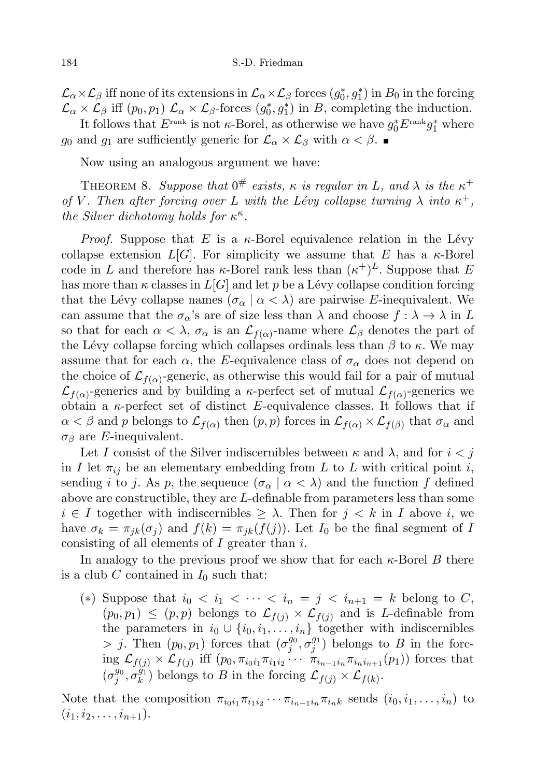$\mathcal{L}_\alpha\times\mathcal{L}_\beta$  iff none of its extensions in  $\mathcal{L}_\alpha\times\mathcal{L}_\beta$  forces  $(g_0^*,g_1^*)$  in  $B_0$  in the forcing  $\mathcal{L}_{\alpha} \times \mathcal{L}_{\beta}$  iff  $(p_0, p_1)$   $\mathcal{L}_{\alpha} \times \mathcal{L}_{\beta}$ -forces  $(g_0^*, g_1^*)$  in B, completing the induction.

It follows that  $E^{\text{rank}}$  is not  $\kappa$ -Borel, as otherwise we have  $g_0^*E^{\text{rank}}g_1^*$  where g<sub>0</sub> and g<sub>1</sub> are sufficiently generic for  $\mathcal{L}_{\alpha} \times \mathcal{L}_{\beta}$  with  $\alpha < \beta$ .

Now using an analogous argument we have:

THEOREM 8. Suppose that  $0^{\#}$  exists,  $\kappa$  is regular in L, and  $\lambda$  is the  $\kappa^+$ of V. Then after forcing over L with the Lévy collapse turning  $\lambda$  into  $\kappa^+$ , the Silver dichotomy holds for  $\kappa^{\kappa}$ .

*Proof.* Suppose that E is a  $\kappa$ -Borel equivalence relation in the Lévy collapse extension  $L[G]$ . For simplicity we assume that E has a  $\kappa$ -Borel code in L and therefore has  $\kappa$ -Borel rank less than  $(\kappa^+)^L$ . Suppose that E has more than  $\kappa$  classes in  $L[G]$  and let p be a Lévy collapse condition forcing that the Lévy collapse names  $(\sigma_{\alpha} \mid \alpha < \lambda)$  are pairwise E-inequivalent. We can assume that the  $\sigma_{\alpha}$ 's are of size less than  $\lambda$  and choose  $f : \lambda \to \lambda$  in L so that for each  $\alpha < \lambda$ ,  $\sigma_{\alpha}$  is an  $\mathcal{L}_{f(\alpha)}$ -name where  $\mathcal{L}_{\beta}$  denotes the part of the Lévy collapse forcing which collapses ordinals less than  $\beta$  to  $\kappa$ . We may assume that for each  $\alpha$ , the E-equivalence class of  $\sigma_{\alpha}$  does not depend on the choice of  $\mathcal{L}_{f(\alpha)}$ -generic, as otherwise this would fail for a pair of mutual  $\mathcal{L}_{f(\alpha)}$ -generics and by building a  $\kappa$ -perfect set of mutual  $\mathcal{L}_{f(\alpha)}$ -generics we obtain a  $\kappa$ -perfect set of distinct E-equivalence classes. It follows that if  $\alpha < \beta$  and p belongs to  $\mathcal{L}_{f(\alpha)}$  then  $(p, p)$  forces in  $\mathcal{L}_{f(\alpha)} \times \mathcal{L}_{f(\beta)}$  that  $\sigma_{\alpha}$  and  $\sigma_{\beta}$  are *E*-inequivalent.

Let I consist of the Silver indiscernibles between  $\kappa$  and  $\lambda$ , and for  $i < j$ in I let  $\pi_{ij}$  be an elementary embedding from L to L with critical point i, sending i to j. As p, the sequence  $(\sigma_{\alpha} \mid \alpha < \lambda)$  and the function f defined above are constructible, they are L-definable from parameters less than some  $i \in I$  together with indiscernibles  $\geq \lambda$ . Then for  $j \leq k$  in I above i, we have  $\sigma_k = \pi_{jk}(\sigma_j)$  and  $f(k) = \pi_{jk}(f(j))$ . Let  $I_0$  be the final segment of I consisting of all elements of  $I$  greater than  $i$ .

In analogy to the previous proof we show that for each  $\kappa$ -Borel B there is a club C contained in  $I_0$  such that:

(\*) Suppose that  $i_0 < i_1 < \cdots < i_n = j < i_{n+1} = k$  belong to C,  $(p_0, p_1) \leq (p, p)$  belongs to  $\mathcal{L}_{f(j)} \times \mathcal{L}_{f(j)}$  and is L-definable from the parameters in  $i_0 \cup \{i_0, i_1, \ldots, i_n\}$  together with indiscernibles  $> j$ . Then  $(p_0, p_1)$  forces that  $(\sigma_j^{g_0}, \sigma_j^{g_1})$  belongs to B in the forcing  $\mathcal{L}_{f(j)} \times \mathcal{L}_{f(j)}$  iff  $(p_0, \pi_{i_0 i_1} \pi_{i_1 i_2} \cdots \pi_{i_{n-1} i_n} \pi_{i_n i_{n+1}}(p_1))$  forces that  $(\sigma^{g_0}_j, \sigma^{g_1}_k$  $_{k}^{g_{1}}$ ) belongs to B in the forcing  $\mathcal{L}_{f(j)} \times \mathcal{L}_{f(k)}$ .

Note that the composition  $\pi_{i_0 i_1} \pi_{i_1 i_2} \cdots \pi_{i_{n-1} i_n} \pi_{i_n k}$  sends  $(i_0, i_1, \ldots, i_n)$  to  $(i_1, i_2, \ldots, i_{n+1}).$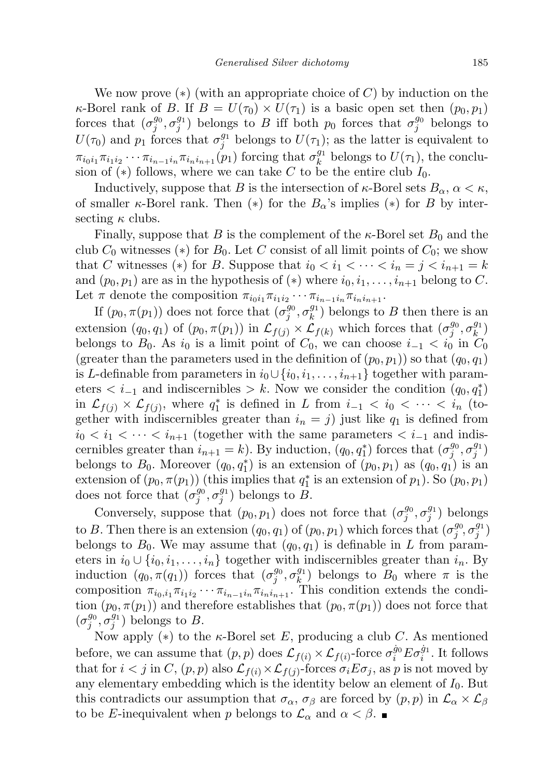We now prove  $(*)$  (with an appropriate choice of C) by induction on the  $\kappa$ -Borel rank of B. If  $B = U(\tau_0) \times U(\tau_1)$  is a basic open set then  $(p_0, p_1)$ forces that  $(\sigma_j^{g_0}, \sigma_j^{g_1})$  belongs to B iff both  $p_0$  forces that  $\sigma_j^{g_0}$  belongs to  $U(\tau_0)$  and  $p_1$  forces that  $\sigma_j^{g_1}$  belongs to  $U(\tau_1)$ ; as the latter is equivalent to  $\pi_{i_0i_1}\pi_{i_1i_2}\cdots\pi_{i_{n-1}i_n}\pi_{i_ni_{n+1}}(p_1)$  forcing that  $\sigma_k^{g_1}$  $k^{g_1}$  belongs to  $U(\tau_1)$ , the conclusion of (\*) follows, where we can take C to be the entire club  $I_0$ .

Inductively, suppose that B is the intersection of  $\kappa$ -Borel sets  $B_{\alpha}$ ,  $\alpha < \kappa$ , of smaller  $\kappa$ -Borel rank. Then  $(*)$  for the  $B_{\alpha}$ 's implies  $(*)$  for B by intersecting  $\kappa$  clubs.

Finally, suppose that  $B$  is the complement of the  $\kappa$ -Borel set  $B_0$  and the club  $C_0$  witnesses (\*) for  $B_0$ . Let C consist of all limit points of  $C_0$ ; we show that C witnesses (\*) for B. Suppose that  $i_0 < i_1 < \cdots < i_n = j < i_{n+1} = k$ and  $(p_0, p_1)$  are as in the hypothesis of  $(*)$  where  $i_0, i_1, \ldots, i_{n+1}$  belong to C. Let  $\pi$  denote the composition  $\pi_{i_0 i_1} \pi_{i_1 i_2} \cdots \pi_{i_{n-1} i_n} \pi_{i_n i_{n+1}}$ .

If  $(p_0, \pi(p_1))$  does not force that  $(\sigma_j^{g_0}, \sigma_k^{g_1})$  $\binom{g_1}{k}$  belongs to B then there is an extension  $(q_0, q_1)$  of  $(p_0, \pi(p_1))$  in  $\mathcal{L}_{f(j)} \times \mathcal{L}_{f(k)}$  which forces that  $(\sigma_j^{g_0}, \sigma_k^{g_1})$  $\binom{g_1}{k}$ belongs to  $B_0$ . As  $i_0$  is a limit point of  $C_0$ , we can choose  $i_{-1} < i_0$  in  $C_0$ (greater than the parameters used in the definition of  $(p_0, p_1)$ ) so that  $(q_0, q_1)$ is L-definable from parameters in  $i_0 \cup \{i_0, i_1, \ldots, i_{n+1}\}$  together with parameters  $\lt i_{-1}$  and indiscernibles  $\gt k$ . Now we consider the condition  $(q_0, q_1^*)$ in  $\mathcal{L}_{f(j)} \times \mathcal{L}_{f(j)}$ , where  $q_1^*$  is defined in L from  $i_{-1} < i_0 < \cdots < i_n$  (together with indiscernibles greater than  $i_n = j$  just like  $q_1$  is defined from  $i_0 < i_1 < \cdots < i_{n+1}$  (together with the same parameters  $and indis$ cernibles greater than  $i_{n+1} = k$ ). By induction,  $(q_0, q_1^*)$  forces that  $(\sigma_j^{g_0}, \sigma_j^{g_1})$ belongs to  $B_0$ . Moreover  $(q_0, q_1^*)$  is an extension of  $(p_0, p_1)$  as  $(q_0, q_1)$  is an extension of  $(p_0, \pi(p_1))$  (this implies that  $q_1^*$  is an extension of  $p_1$ ). So  $(p_0, p_1)$ does not force that  $(\sigma_j^{g_0}, \sigma_j^{g_1})$  belongs to B.

Conversely, suppose that  $(p_0, p_1)$  does not force that  $(\sigma_j^{g_0}, \sigma_j^{g_1})$  belongs to B. Then there is an extension  $(q_0, q_1)$  of  $(p_0, p_1)$  which forces that  $(\sigma_j^{g_0}, \sigma_j^{g_1})$ belongs to  $B_0$ . We may assume that  $(q_0, q_1)$  is definable in L from parameters in  $i_0 \cup \{i_0, i_1, \ldots, i_n\}$  together with indiscernibles greater than  $i_n$ . By induction  $(q_0, \pi(q_1))$  forces that  $(\sigma_j^{g_0}, \sigma_k^{g_1})$  $\binom{g_1}{k}$  belongs to  $B_0$  where  $\pi$  is the composition  $\pi_{i_0,i_1}\pi_{i_1i_2}\cdots\pi_{i_{n-1}i_n}\pi_{i_ni_{n+1}}$ . This condition extends the condition  $(p_0, \pi(p_1))$  and therefore establishes that  $(p_0, \pi(p_1))$  does not force that  $(\sigma_j^{g_0}, \sigma_j^{g_1})$  belongs to B.

Now apply  $(*)$  to the  $\kappa$ -Borel set E, producing a club C. As mentioned before, we can assume that  $(p, p)$  does  $\mathcal{L}_{f(i)} \times \mathcal{L}_{f(i)}$ -force  $\sigma_i^{\dot{g}_0} E \sigma_i^{\dot{g}_1}$ . It follows that for  $i < j$  in  $C$ ,  $(p, p)$  also  $\mathcal{L}_{f(i)} \times \mathcal{L}_{f(j)}$ -forces  $\sigma_i E \sigma_j$ , as p is not moved by any elementary embedding which is the identity below an element of  $I_0$ . But this contradicts our assumption that  $\sigma_{\alpha}$ ,  $\sigma_{\beta}$  are forced by  $(p, p)$  in  $\mathcal{L}_{\alpha} \times \mathcal{L}_{\beta}$ to be E-inequivalent when p belongs to  $\mathcal{L}_{\alpha}$  and  $\alpha < \beta$ .